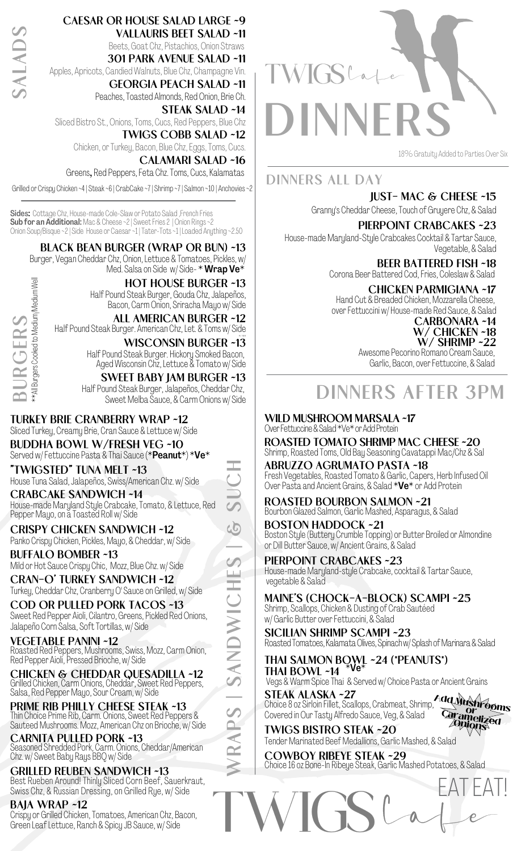**SALADS**

TWIGSLa **DINNERS**

18%Gratuity Added to Parties Over Six

**DINNERS ALL DAY**

**Just- Mac & Cheese ~15**

Granny's Cheddar Cheese,Touch of Gruyere Chz, & Salad **Pierpoint Crabcakes ~23**

House-made Maryland-Style Crabcakes Cocktail & Tartar Sauce, Vegetable, & Salad

> **Beer Battered Fish ~18** Corona Beer Battered Cod, Fries, Coleslaw & Salad

**CHICKEN PARMIGIANA ~17**<br>Hand Cut & Breaded Chicken, Mozzarella Cheese, over Fettuccini w/ House-made Red Sauce, & Salad

**Carbonara ~14 w/ Chicken ~18 w/ Shrimp ~22**

Awesome Pecorino Romano Cream Sauce, Garlic, Bacon, over Fettuccine, & Salad

## **DINNERS AFTER 3PM**

**Wild Mushroom Marsala ~17** Over Fettuccine & Salad \*Ve\* or Add Protein

**Roasted Tomato Shrimp Mac Cheese ~20** Shrimp, Roasted Toms, Old Bay Seasoning CavatappiMac/Chz & Sal

**Abruzzo Agrumato Pasta ~18** Fresh Vegetables, Roasted Tomato & Garlic, Capers, Herb Infused Oil Over Pasta and Ancient Grains, & Salad \*Ve\* or Add Protein

**Roasted Bourbon Salmon ~21** Bourbon Glazed Salmon, Garlic Mashed, Asparagus, & Salad

**Boston Haddock ~21** Boston Style (Buttery Crumble Topping) or Butter Broiled or Almondine or Dill Butter Sauce, w/ Ancient Grains, & Salad

**Pierpoint Crabcakes ~23** House-made Maryland-style Crabcake, cocktail & Tartar Sauce, vegetable & Salad **S | &**

> **Maine's (Chock-a-block) Scampi ~25** Shrimp, Scallops, Chicken & Dusting of Crab Sautéed

w/ Garlic Butter over Fettuccini, & Salad **Sicilian Shrimp Scampi ~23** Roasted Tomatoes, Kalamata Olives, Spinach w/Splash of Marinara & Salad

**Thai Salmon Bowl ~24 (\*peanuts\*) Thai Bowl ~14** Vegs &Warm Spice Thai & Served w/ Choice Pasta or Ancient Grains \*Ve\*

**Steak Alaska ~27** Choice 8 oz Sirloin Fillet, Scallops, Crabmeat, Shrimp, Add Mu o s **arangshrooms**<br>Caramous

ameliz<del>ed</del><br>alons

Covered in Our Tasty Alfredo Sauce, Veg, & Salad **Twigs Bistro Steak ~20** Tender Marinated Beef Medallions, Garlic Mashed, & Salad ra<br>Or

**Cowboy RIbEye Steak ~29** Choice 16 oz Bone-In Ribeye Steak, Garlic Mashed Potatoes, & Salad



**Caesar or House Salad Large ~9 Vallauris Beet Salad ~11** Beets, Goat Chz, Pistachios, Onion Straws **301 Park Avenue Salad ~11**

Apples, Apricots, CandiedWalnuts, Blue Chz, Champagne Vin. **Georgia Peach Salad ~11**

Peaches, Toasted Almonds, Red Onion, Brie Ch. **Steak Salad ~14** Sliced Bistro St., Onions,Toms, Cucs, Red Peppers, Blue Chz **Twigs Cobb Salad ~12**

Chicken, or Turkey, Bacon, Blue Chz, Eggs, Toms, Cucs.

**Calamari Salad ~16** Greens, Red Peppers, Feta Chz. Toms, Cucs, Kalamatas

Grilled or Crispy Chicken~4| Steak~6| CrabCake ~7| Shrimp ~7| Salmon~10 | Anchovies~2

Sides: Cottage Chz, House-made Cole-Slaw or Potato Salad , French Fries **Sub for an Additional:** Mac & Cheese ~2 | Sweet Fries 2 | Onion Rings ~2 Onion Soup/Bisque ~2| Side House or Caesar~1 |Tater-Tots~1 |Loaded Anything ~2.50

#### **Black Bean Burger (WRAP or Bun) ~13**

Burger, Vegan Cheddar Chz, Onion, Lettuce & Tomatoes, Pickles, w/ Med. Salsa on Side w/ Side- $*$  Wrap Ve $*$ 



**Hot House Burger ~13** Half Pound Steak Burger, Gouda Chz, Jalapeños,

Bacon, Carm Onion, Sriracha Mayo w/ Side

**All American Burger ~12** Half Pound Steak Burger. American Chz, Let. & Toms w/ Side

**w/ Side WISCONSIN BURGER ~13**<br>
Half Pound Steak Burger. Hickory Smoked Bacon, Aged Wisconsin Chz, Lettuce & Tomato w/ Side

**Sweet Baby Jam Burger ~13** Half Pound Steak Burger, Jalapeños, Cheddar Chz, Sweet Melba Sauce, & Carm Onions w/ Side

### **Turkey Brie Cranberry Wrap ~12**

Sliced Turkey, Creamy Brie, Cran Sauce & Lettuce w/ Side

**Buddha Bowl w/Fresh Veg ~10** Served w/Fettuccine Pasta & Thai Sauce (\*Peanut\*) \*Ve\*

**"Twigsted" Tuna Melt ~13**

**SU**House Tuna Salad, Jalapeños, Swiss/American Chz. w/ Side **Crabcake Sandwich ~14** House-madeMaryland Style Crabcake,Tomato, & Lettuce, Red

Pepper Mayo, on ã Toasted Roll w/ Side **Crispy Chicken Sandwich ~12**

Panko Crispy Chicken, Pickles, Mayo, & Cheddar, w/ Side **BUFFALO Bomber ~13**

Mild or Hot Sauce Crispy Chic, Mozz, Blue Chz. w/ Side

**Cran-O' Turkey Sandwich ~12** Turkey, Cheddar Chz, Cranberry O' Sauce on Grilled, w/ Side

**Cod or Pulled Pork Tacos ~13** Sweet Red Pepper Aioli, Cilantro, Greens, Pickled Red Onions, Jalapeño Corn Salsa, Soft Tortillas, w/ Side

**Vegetable Panini ~12** Roasted Red Peppers, Mushrooms, Swiss, Mozz, Carm Onion, Red Pepper Aioli, Pressed Brioche, w/ Side

**Chicken & Cheddar Quesadilla ~12** Grilled Chicken, Carm Onions, Cheddar, Sweet Red Peppers, Salsa, Red Peppers, Salsa, Red Pepper Mayo, Sour Cream, w

**Prime Rib Philly Cheese Steak ~13** Thin Choice Prime Rib, Carm. Onions, Sweet Red Peppers & Sauteed Mushrooms. Mozz, American Chz on Brioche, w/ Side

**Carnita Pulled Pork ~13** Seasoned Shredded Pork, Carm. Onions, Cheddar/American Chz. w/ Sweet Baby Rays BBQ w/ Side

**RAPS| S**

**AND**

**WIC**

**HE**

 $\overline{C}$ **H**

**Grilled Reuben Sandwich ~13** Best Rueben Around! Thinly Sliced Corn Beef, Sauerkraut, Swiss Chz,& Russian Dressing, on Grilled Rye, w/ Side

**Baja Wrap ~12**

Crispy or Grilled Chicken, Tomatoes, American Chz, Bacon, Green Leaf Lettuce, Ranch & Spicy JB Sauce, w/ Side